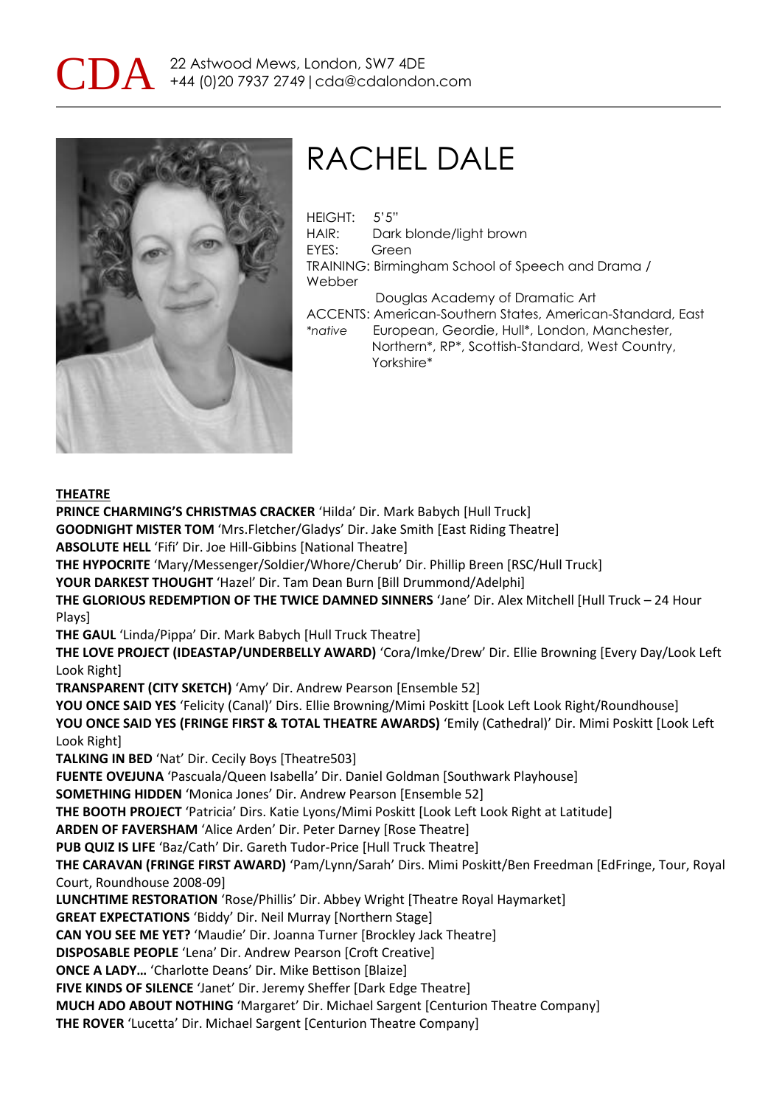



# RACHEL DALE

HEIGHT: 5'5" HAIR: Dark blonde/light brown EYES: Green TRAINING: Birmingham School of Speech and Drama / Webber Douglas Academy of Dramatic Art ACCENTS: American-Southern States, American-Standard, East *\*native* European, Geordie, Hull\*, London, Manchester, Northern\*, RP\*, Scottish-Standard, West Country, Yorkshire\*

### **THEATRE**

**PRINCE CHARMING'S CHRISTMAS CRACKER** 'Hilda' Dir. Mark Babych [Hull Truck] **GOODNIGHT MISTER TOM** 'Mrs.Fletcher/Gladys' Dir. Jake Smith [East Riding Theatre] **ABSOLUTE HELL** 'Fifi' Dir. Joe Hill-Gibbins [National Theatre] **THE HYPOCRITE** 'Mary/Messenger/Soldier/Whore/Cherub' Dir. Phillip Breen [RSC/Hull Truck] **YOUR DARKEST THOUGHT** 'Hazel' Dir. Tam Dean Burn [Bill Drummond/Adelphi] **THE GLORIOUS REDEMPTION OF THE TWICE DAMNED SINNERS** 'Jane' Dir. Alex Mitchell [Hull Truck – 24 Hour Plays] **THE GAUL** 'Linda/Pippa' Dir. Mark Babych [Hull Truck Theatre] **THE LOVE PROJECT (IDEASTAP/UNDERBELLY AWARD)** 'Cora/Imke/Drew' Dir. Ellie Browning [Every Day/Look Left Look Right] **TRANSPARENT (CITY SKETCH)** 'Amy' Dir. Andrew Pearson [Ensemble 52] YOU ONCE SAID YES 'Felicity (Canal)' Dirs. Ellie Browning/Mimi Poskitt [Look Left Look Right/Roundhouse] **YOU ONCE SAID YES (FRINGE FIRST & TOTAL THEATRE AWARDS)** 'Emily (Cathedral)' Dir. Mimi Poskitt [Look Left Look Right] **TALKING IN BED** 'Nat' Dir. Cecily Boys [Theatre503] **FUENTE OVEJUNA** 'Pascuala/Queen Isabella' Dir. Daniel Goldman [Southwark Playhouse] **SOMETHING HIDDEN** 'Monica Jones' Dir. Andrew Pearson [Ensemble 52] **THE BOOTH PROJECT** 'Patricia' Dirs. Katie Lyons/Mimi Poskitt [Look Left Look Right at Latitude] **ARDEN OF FAVERSHAM** 'Alice Arden' Dir. Peter Darney [Rose Theatre] **PUB QUIZ IS LIFE** 'Baz/Cath' Dir. Gareth Tudor-Price [Hull Truck Theatre] **THE CARAVAN (FRINGE FIRST AWARD)** 'Pam/Lynn/Sarah' Dirs. Mimi Poskitt/Ben Freedman [EdFringe, Tour, Royal Court, Roundhouse 2008-09] **LUNCHTIME RESTORATION** 'Rose/Phillis' Dir. Abbey Wright [Theatre Royal Haymarket] **GREAT EXPECTATIONS** 'Biddy' Dir. Neil Murray [Northern Stage] **CAN YOU SEE ME YET?** 'Maudie' Dir. Joanna Turner [Brockley Jack Theatre] **DISPOSABLE PEOPLE** 'Lena' Dir. Andrew Pearson [Croft Creative] **ONCE A LADY…** 'Charlotte Deans' Dir. Mike Bettison [Blaize] **FIVE KINDS OF SILENCE** 'Janet' Dir. Jeremy Sheffer [Dark Edge Theatre] **MUCH ADO ABOUT NOTHING** 'Margaret' Dir. Michael Sargent [Centurion Theatre Company]

**THE ROVER** 'Lucetta' Dir. Michael Sargent [Centurion Theatre Company]